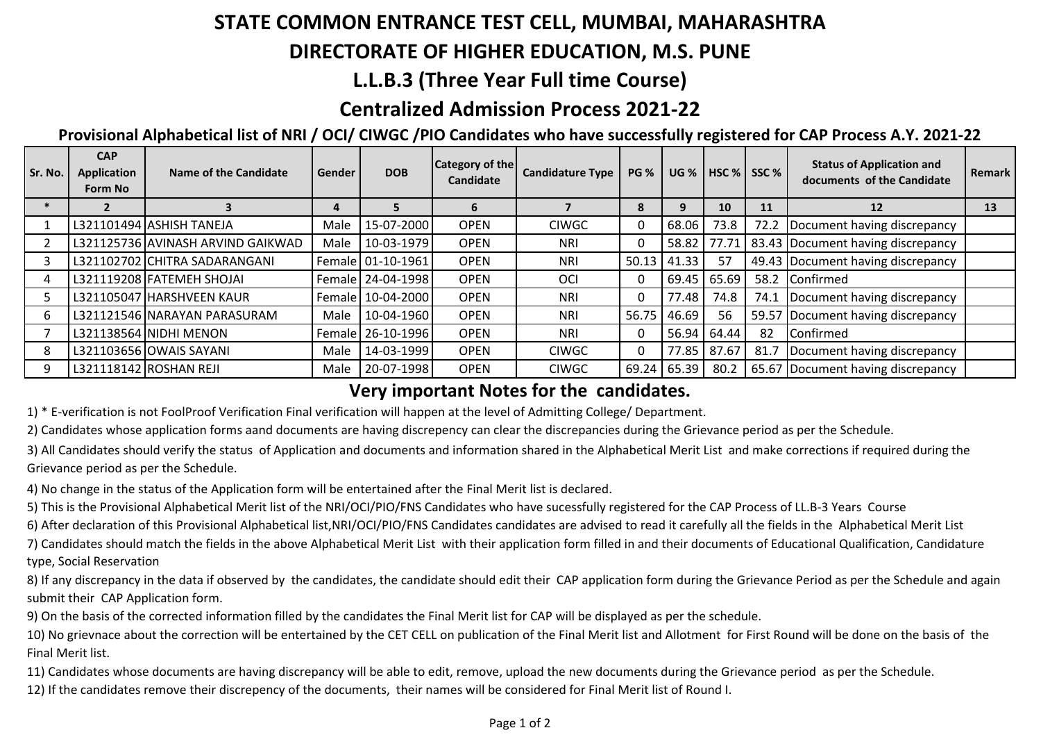# **STATE COMMON ENTRANCE TEST CELL, MUMBAI, MAHARASHTRA**

### **DIRECTORATE OF HIGHER EDUCATION, M.S. PUNE**

# **L.L.B.3 (Three Year Full time Course)**

# **Centralized Admission Process 2021-22**

#### **Provisional Alphabetical list of NRI / OCI/ CIWGC /PIO Candidates who have successfully registered for CAP Process A.Y. 2021-22**

| Sr. No. | <b>CAP</b><br>Application<br>Form No | Name of the Candidate             | Gender | <b>DOB</b>          | <b>Category of the</b><br>Candidate | <b>Candidature Type</b> | <b>PG %</b> | <b>UG %</b> | HSC % SSC % |      | <b>Status of Application and</b><br>documents of the Candidate | <b>Remark</b> |
|---------|--------------------------------------|-----------------------------------|--------|---------------------|-------------------------------------|-------------------------|-------------|-------------|-------------|------|----------------------------------------------------------------|---------------|
|         |                                      |                                   | 4      |                     | 6                                   |                         | 8           | 9           | 10          | 11   | 12                                                             | 13            |
|         |                                      | L321101494 ASHISH TANEJA          | Male   | 15-07-2000          | <b>OPEN</b>                         | <b>CIWGC</b>            | 0           | 68.06       | 73.8        | 72.2 | Document having discrepancy                                    |               |
|         |                                      | L321125736 AVINASH ARVIND GAIKWAD | Male   | 10-03-1979          | <b>OPEN</b>                         | <b>NRI</b>              | 0           | 58.82       | 77.71       |      | 83.43 Document having discrepancy                              |               |
|         |                                      | L321102702 CHITRA SADARANGANI     |        | Female 01-10-1961   | <b>OPEN</b>                         | <b>NRI</b>              | 50.13       | 41.33       | 57          |      | 49.43 Document having discrepancy                              |               |
|         |                                      | L321119208 FATEMEH SHOJAI         |        | Female 24-04-1998   | <b>OPEN</b>                         | OCI                     | 0           | 69.45       | 65.69       | 58.2 | Confirmed                                                      |               |
|         |                                      | L321105047 HARSHVEEN KAUR         |        | Female 10-04-2000   | <b>OPEN</b>                         | <b>NRI</b>              | 0           | 77.48       | 74.8        | 74.1 | Document having discrepancy                                    |               |
|         |                                      | L321121546 NARAYAN PARASURAM      | Male   | 10-04-1960          | <b>OPEN</b>                         | <b>NRI</b>              | 56.75       | 46.69       | 56          |      | 59.57 Document having discrepancy                              |               |
|         |                                      | L321138564 NIDHI MENON            |        | Female   26-10-1996 | <b>OPEN</b>                         | <b>NRI</b>              | 0           | 56.94       | 64.44       | 82   | Confirmed                                                      |               |
| 8       |                                      | L321103656 OWAIS SAYANI           | Male   | 14-03-1999          | <b>OPEN</b>                         | <b>CIWGC</b>            | 0           | 77.85       | 87.67       | 81.7 | Document having discrepancy                                    |               |
|         |                                      | L321118142 ROSHAN REJI            | Male   | 20-07-1998          | <b>OPEN</b>                         | <b>CIWGC</b>            | 69.24       | 65.39       | 80.2        |      | 65.67 Document having discrepancy                              |               |

#### **Very important Notes for the candidates.**

1) \* E-verification is not FoolProof Verification Final verification will happen at the level of Admitting College/ Department.

2) Candidates whose application forms aand documents are having discrepency can clear the discrepancies during the Grievance period as per the Schedule.

3) All Candidates should verify the status of Application and documents and information shared in the Alphabetical Merit List and make corrections if required during the Grievance period as per the Schedule.

4) No change in the status of the Application form will be entertained after the Final Merit list is declared.

5) This is the Provisional Alphabetical Merit list of the NRI/OCI/PIO/FNS Candidates who have sucessfully registered for the CAP Process of LL.B-3 Years Course

6) After declaration of this Provisional Alphabetical list,NRI/OCI/PIO/FNS Candidates candidates are advised to read it carefully all the fields in the Alphabetical Merit List

7) Candidates should match the fields in the above Alphabetical Merit List with their application form filled in and their documents of Educational Qualification, Candidature type, Social Reservation

8) If any discrepancy in the data if observed by the candidates, the candidate should edit their CAP application form during the Grievance Period as per the Schedule and again submit their CAP Application form.

9) On the basis of the corrected information filled by the candidates the Final Merit list for CAP will be displayed as per the schedule.

10) No grievnace about the correction will be entertained by the CET CELL on publication of the Final Merit list and Allotment for First Round will be done on the basis of the Final Merit list.

11) Candidates whose documents are having discrepancy will be able to edit, remove, upload the new documents during the Grievance period as per the Schedule.

12) If the candidates remove their discrepency of the documents, their names will be considered for Final Merit list of Round I.